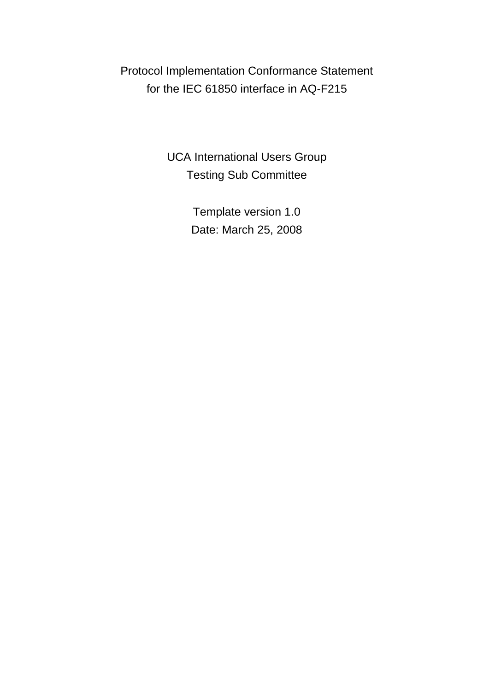Protocol Implementation Conformance Statement for the IEC 61850 interface in AQ-F215

> UCA International Users Group Testing Sub Committee

> > Template version 1.0 Date: March 25, 2008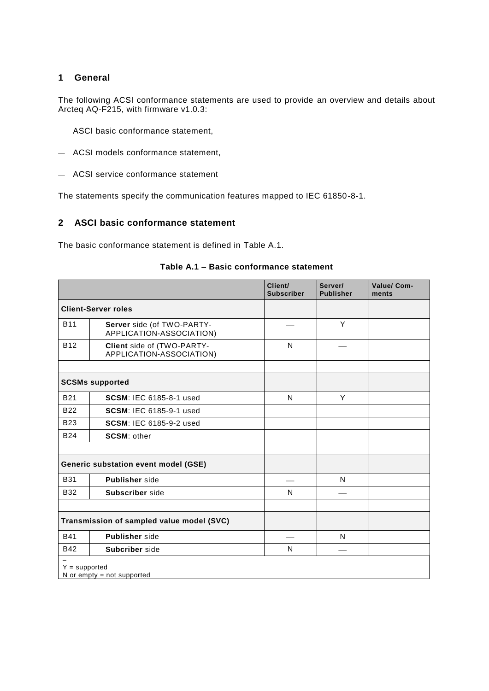## **1 General**

The following ACSI conformance statements are used to provide an overview and details about Arcteq AQ-F215, with firmware v1.0.3:

- ASCI basic conformance statement,
- ACSI models conformance statement,
- ACSI service conformance statement

The statements specify the communication features mapped to IEC 61850-8-1.

# **2 ASCI basic conformance statement**

<span id="page-1-0"></span>The basic conformance statement is defined in [Table A.1.](#page-1-0)

|                 |                                                        | Client/<br><b>Subscriber</b> | Server/<br><b>Publisher</b> | Value/ Com-<br>ments |
|-----------------|--------------------------------------------------------|------------------------------|-----------------------------|----------------------|
|                 | <b>Client-Server roles</b>                             |                              |                             |                      |
| <b>B11</b>      | Server side (of TWO-PARTY-<br>APPLICATION-ASSOCIATION) |                              | Y                           |                      |
| <b>B12</b>      | Client side of (TWO-PARTY-<br>APPLICATION-ASSOCIATION) | N                            |                             |                      |
|                 |                                                        |                              |                             |                      |
|                 | <b>SCSMs supported</b>                                 |                              |                             |                      |
| <b>B21</b>      | <b>SCSM: IEC 6185-8-1 used</b>                         | N                            | Y                           |                      |
| <b>B22</b>      | <b>SCSM: IEC 6185-9-1 used</b>                         |                              |                             |                      |
| <b>B23</b>      | <b>SCSM: IEC 6185-9-2 used</b>                         |                              |                             |                      |
| <b>B24</b>      | <b>SCSM: other</b>                                     |                              |                             |                      |
|                 |                                                        |                              |                             |                      |
|                 | Generic substation event model (GSE)                   |                              |                             |                      |
| <b>B31</b>      | <b>Publisher</b> side                                  |                              | N                           |                      |
| <b>B32</b>      | Subscriber side                                        | N                            |                             |                      |
|                 |                                                        |                              |                             |                      |
|                 | Transmission of sampled value model (SVC)              |                              |                             |                      |
| <b>B41</b>      | <b>Publisher</b> side                                  |                              | N                           |                      |
| <b>B42</b>      | Subcriber side                                         | N                            |                             |                      |
| $Y = supported$ | N or empty $=$ not supported                           |                              |                             |                      |

#### **Table A.1 – Basic conformance statement**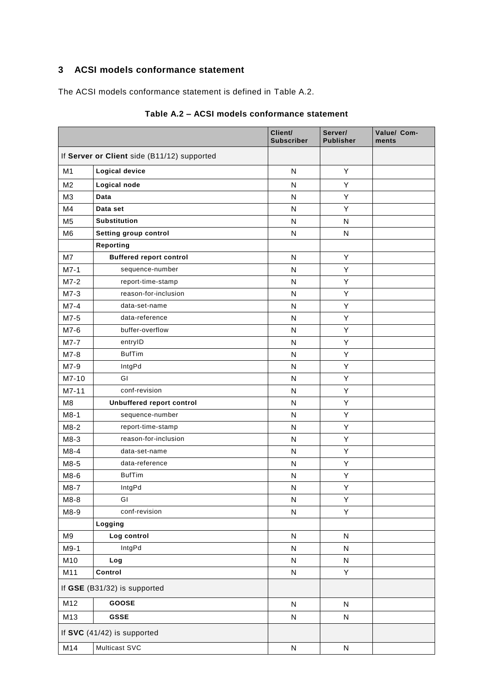# **3 ACSI models conformance statement**

<span id="page-2-0"></span>The ACSI models conformance statement is defined in [Table A.2.](#page-2-0)

|                |                                             | Client/<br><b>Subscriber</b> | Server/<br><b>Publisher</b> | Value/ Com-<br>ments |
|----------------|---------------------------------------------|------------------------------|-----------------------------|----------------------|
|                | If Server or Client side (B11/12) supported |                              |                             |                      |
| M1             | <b>Logical device</b>                       | $\mathsf{N}$                 | Υ                           |                      |
| M <sub>2</sub> | Logical node                                | N                            | Υ                           |                      |
| M <sub>3</sub> | Data                                        | N                            | Υ                           |                      |
| M4             | Data set                                    | N                            | Υ                           |                      |
| M <sub>5</sub> | <b>Substitution</b>                         | N                            | N                           |                      |
| M <sub>6</sub> | Setting group control                       | N                            | N                           |                      |
|                | Reporting                                   |                              |                             |                      |
| M7             | <b>Buffered report control</b>              | N                            | Υ                           |                      |
| $M7-1$         | sequence-number                             | N                            | Υ                           |                      |
| $M7-2$         | report-time-stamp                           | N                            | Υ                           |                      |
| $M7-3$         | reason-for-inclusion                        | N                            | Υ                           |                      |
| $M7-4$         | data-set-name                               | N                            | Υ                           |                      |
| M7-5           | data-reference                              | ${\sf N}$                    | Υ                           |                      |
| M7-6           | buffer-overflow                             | N                            | Υ                           |                      |
| $M7-7$         | entryID                                     | N                            | Υ                           |                      |
| $M7-8$         | <b>BufTim</b>                               | N                            | Υ                           |                      |
| M7-9           | IntgPd                                      | N                            | Υ                           |                      |
| M7-10          | GI                                          | N                            | Υ                           |                      |
| M7-11          | conf-revision                               | N                            | Υ                           |                      |
| M <sub>8</sub> | Unbuffered report control                   | N                            | Y                           |                      |
| $M8-1$         | sequence-number                             | N                            | Υ                           |                      |
| $M8-2$         | report-time-stamp                           | N                            | Υ                           |                      |
| $M8-3$         | reason-for-inclusion                        | N                            | Υ                           |                      |
| $M8-4$         | data-set-name                               | N                            | Υ                           |                      |
| M8-5           | data-reference                              | N                            | Υ                           |                      |
| M8-6           | <b>BufTim</b>                               | ${\sf N}$                    | Υ                           |                      |
| $M8-7$         | IntgPd                                      | N                            | Υ                           |                      |
| M8-8           | GI                                          | ${\sf N}$                    | Υ                           |                      |
| M8-9           | conf-revision                               | ${\sf N}$                    | Υ                           |                      |
|                | Logging                                     |                              |                             |                      |
| M <sub>9</sub> | Log control                                 | ${\sf N}$                    | ${\sf N}$                   |                      |
| M9-1           | IntgPd                                      | ${\sf N}$                    | ${\sf N}$                   |                      |
| M10            | Log                                         | N                            | N                           |                      |
| M11            | Control                                     | N                            | Y                           |                      |
|                | If GSE (B31/32) is supported                |                              |                             |                      |
| M12            | GOOSE                                       | ${\sf N}$                    | ${\sf N}$                   |                      |
| M13            | <b>GSSE</b>                                 | ${\sf N}$                    | N                           |                      |
|                | If SVC (41/42) is supported                 |                              |                             |                      |
| M14            | Multicast SVC                               | N                            | N                           |                      |

### **Table A.2 – ACSI models conformance statement**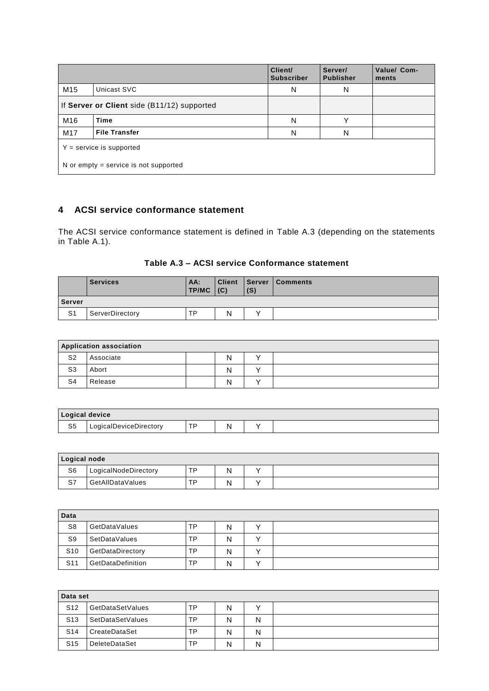|                                             |                      | Client/<br><b>Subscriber</b> | Server/<br><b>Publisher</b> | Value/ Com-<br>ments |  |  |  |
|---------------------------------------------|----------------------|------------------------------|-----------------------------|----------------------|--|--|--|
| M <sub>15</sub>                             | Unicast SVC          | N                            | N                           |                      |  |  |  |
| If Server or Client side (B11/12) supported |                      |                              |                             |                      |  |  |  |
| M16                                         | <b>Time</b>          | N                            | v                           |                      |  |  |  |
| M <sub>17</sub>                             | <b>File Transfer</b> | N                            | N                           |                      |  |  |  |
| $Y =$ service is supported                  |                      |                              |                             |                      |  |  |  |
| N or empty $=$ service is not supported     |                      |                              |                             |                      |  |  |  |

## **4 ACSI service conformance statement**

The ACSI service conformance statement is defined in [Table A.3](#page-3-0) (depending on the statements in [Table A.1\)](#page-1-0).

### **Table A.3 – ACSI service Conformance statement**

<span id="page-3-0"></span>

|                | <b>Services</b> | AA:<br><b>TP/MC</b> | (C) | (S) | <b>Client Server Comments</b> |  |  |  |
|----------------|-----------------|---------------------|-----|-----|-------------------------------|--|--|--|
| <b>Server</b>  |                 |                     |     |     |                               |  |  |  |
| S <sub>1</sub> | ServerDirectory | тp                  | N   |     |                               |  |  |  |

| <b>Application association</b> |           |  |   |  |  |  |  |
|--------------------------------|-----------|--|---|--|--|--|--|
| S <sub>2</sub>                 | Associate |  | N |  |  |  |  |
| S <sub>3</sub>                 | Abort     |  | N |  |  |  |  |
| S <sub>4</sub>                 | Release   |  | N |  |  |  |  |

| Logical device |                        |           |   |  |
|----------------|------------------------|-----------|---|--|
| S <sub>5</sub> | LogicalDeviceDirectory | <b>TD</b> | N |  |

| Logical node |                      |    |   |  |  |  |  |
|--------------|----------------------|----|---|--|--|--|--|
| S6           | LogicalNodeDirectory | тp | N |  |  |  |  |
| S7           | GetAllDataValues     | ТP | N |  |  |  |  |

| Data            |                   |    |   |  |
|-----------------|-------------------|----|---|--|
| S <sub>8</sub>  | GetDataValues     | ТP | N |  |
| S <sub>9</sub>  | SetDataValues     | ТP | N |  |
| S <sub>10</sub> | GetDataDirectory  | ТP | N |  |
| S <sub>11</sub> | GetDataDefinition | TP | N |  |

|                 | Data set             |    |   |   |  |  |  |  |
|-----------------|----------------------|----|---|---|--|--|--|--|
| S <sub>12</sub> | GetDataSetValues     | TP | N |   |  |  |  |  |
| S <sub>13</sub> | SetDataSetValues     | TP | N | N |  |  |  |  |
| S <sub>14</sub> | CreateDataSet        | TP | N | N |  |  |  |  |
| S <sub>15</sub> | <b>DeleteDataSet</b> | ТP | N | N |  |  |  |  |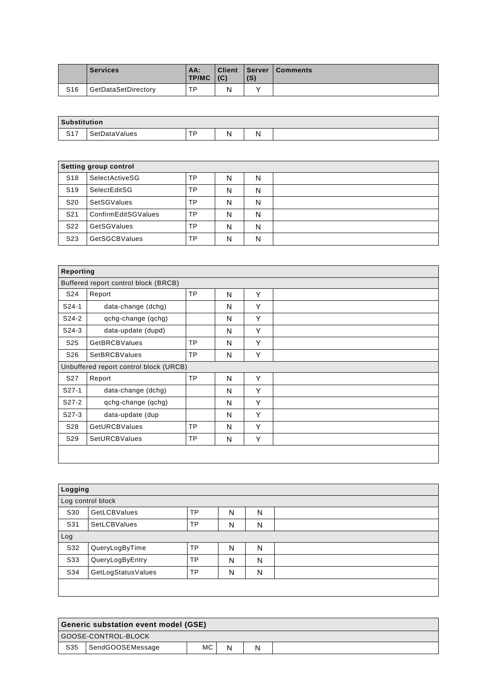|                 | <b>Services</b>     | AA:<br><b>TP/MC</b> | <b>Client</b><br>(C) | (S) | <b>Server   Comments</b> |
|-----------------|---------------------|---------------------|----------------------|-----|--------------------------|
| S <sub>16</sub> | GetDataSetDirectory | ᅚᄆ                  | N                    |     |                          |

| Substitution  |               |           |   |    |  |
|---------------|---------------|-----------|---|----|--|
| 0.47<br>، ، ب | SetDataValues | тo<br>. . | N | N. |  |

|                 | Setting group control |    |   |   |  |  |  |  |
|-----------------|-----------------------|----|---|---|--|--|--|--|
| S <sub>18</sub> | SelectActiveSG        | TP | N | N |  |  |  |  |
| S <sub>19</sub> | SelectEditSG          | TP | N | N |  |  |  |  |
| S <sub>20</sub> | SetSGValues           | TP | N | N |  |  |  |  |
| S <sub>21</sub> | ConfirmEditSGValues   | TP | N | N |  |  |  |  |
| S <sub>22</sub> | GetSGValues           | TP | N | N |  |  |  |  |
| S <sub>23</sub> | <b>GetSGCBValues</b>  | TP | N | N |  |  |  |  |

| Reporting       |                                        |           |   |   |  |
|-----------------|----------------------------------------|-----------|---|---|--|
|                 | Buffered report control block (BRCB)   |           |   |   |  |
| S24             | Report                                 | <b>TP</b> | N | Υ |  |
| $S24-1$         | data-change (dchg)                     |           | N | Υ |  |
| S24-2           | qchg-change (qchg)                     |           | N | Y |  |
| $S24-3$         | data-update (dupd)                     |           | N | Y |  |
| S <sub>25</sub> | <b>GetBRCBValues</b>                   | <b>TP</b> | N | Y |  |
| S <sub>26</sub> | <b>SetBRCBValues</b>                   | <b>TP</b> | N | Y |  |
|                 | Unbuffered report control block (URCB) |           |   |   |  |
| S <sub>27</sub> | Report                                 | <b>TP</b> | N | Y |  |
| $S27-1$         | data-change (dchg)                     |           | N | Υ |  |
| S27-2           | qchg-change (qchg)                     |           | N | Υ |  |
| $S27-3$         | data-update (dup                       |           | N | Y |  |
| S28             | <b>GetURCBValues</b>                   | <b>TP</b> | N | Y |  |
| S <sub>29</sub> | SetURCBValues                          | <b>TP</b> | N | Y |  |
|                 |                                        |           |   |   |  |

| Logging |                    |           |   |   |  |
|---------|--------------------|-----------|---|---|--|
|         | Log control block  |           |   |   |  |
| S30     | GetLCBValues       | <b>TP</b> | N | N |  |
| S31     | SetLCBValues       | <b>TP</b> | N | N |  |
| Log     |                    |           |   |   |  |
| S32     | QueryLogByTime     | <b>TP</b> | N | N |  |
| S33     | QueryLogByEntry    | <b>TP</b> | N | N |  |
| S34     | GetLogStatusValues | <b>TP</b> | N | N |  |
|         |                    |           |   |   |  |
|         |                    |           |   |   |  |

| Generic substation event model (GSE) |                     |     |   |   |  |
|--------------------------------------|---------------------|-----|---|---|--|
|                                      | GOOSE-CONTROL-BLOCK |     |   |   |  |
| S35                                  | SendGOOSEMessage    | MC. | N | N |  |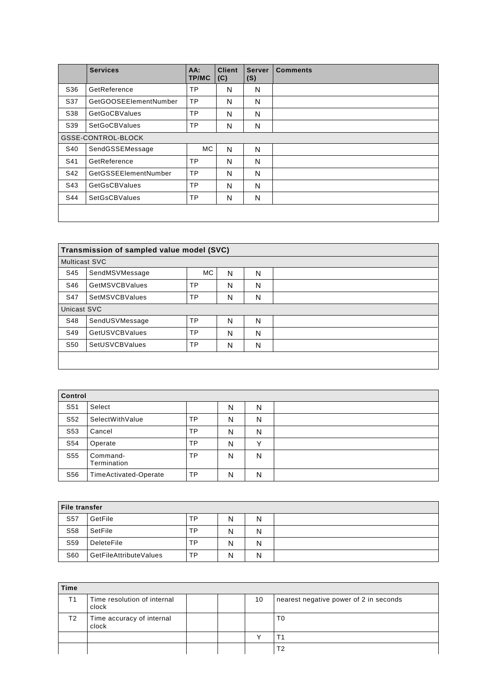|     | <b>Services</b>       | AA:<br><b>TP/MC</b> | <b>Client</b><br>(C) | <b>Server</b><br>(S) | <b>Comments</b> |
|-----|-----------------------|---------------------|----------------------|----------------------|-----------------|
| S36 | GetReference          | <b>TP</b>           | N                    | N                    |                 |
| S37 | GetGOOSEEIementNumber | <b>TP</b>           | N                    | N                    |                 |
| S38 | <b>GetGoCBValues</b>  | <b>TP</b>           | N                    | N                    |                 |
| S39 | <b>SetGoCBValues</b>  | <b>TP</b>           | N                    | N                    |                 |
|     | GSSE-CONTROL-BLOCK    |                     |                      |                      |                 |
| S40 | SendGSSEMessage       | МC                  | N                    | N                    |                 |
| S41 | GetReference          | <b>TP</b>           | N                    | N                    |                 |
| S42 | GetGSSEElementNumber  | <b>TP</b>           | N                    | N                    |                 |
| S43 | <b>GetGsCBValues</b>  | <b>TP</b>           | N                    | N                    |                 |
| S44 | <b>SetGsCBValues</b>  | <b>TP</b>           | N                    | N                    |                 |
|     |                       |                     |                      |                      |                 |

|                      | Transmission of sampled value model (SVC) |     |   |   |  |  |  |
|----------------------|-------------------------------------------|-----|---|---|--|--|--|
| <b>Multicast SVC</b> |                                           |     |   |   |  |  |  |
| S45                  | SendMSVMessage                            | MC. | N | N |  |  |  |
| S46                  | <b>GetMSVCBValues</b>                     | TP  | N | N |  |  |  |
| S47                  | SetMSVCBValues                            | TP  | N | N |  |  |  |
| Unicast SVC          |                                           |     |   |   |  |  |  |
| S48                  | SendUSVMessage                            | TP  | N | N |  |  |  |
| S49                  | <b>GetUSVCBValues</b>                     | TP  | N | N |  |  |  |
| S <sub>50</sub>      | SetUSVCBValues                            | TP  | N | N |  |  |  |
|                      |                                           |     |   |   |  |  |  |
|                      |                                           |     |   |   |  |  |  |

| Control         |                              |    |   |   |  |
|-----------------|------------------------------|----|---|---|--|
| S <sub>51</sub> | Select                       |    | N | N |  |
| S <sub>52</sub> | SelectWithValue              | TP | N | N |  |
| S <sub>53</sub> | Cancel                       | TP | N | N |  |
| S54             | Operate                      | TP | N |   |  |
| S <sub>55</sub> | Command-<br>Termination      | TP | N | N |  |
| S56             | <b>TimeActivated-Operate</b> | TP | N | N |  |

| File transfer   |                               |           |   |   |  |
|-----------------|-------------------------------|-----------|---|---|--|
| S <sub>57</sub> | GetFile                       | ТP        | N | N |  |
| S58             | SetFile                       | ТP        | N | N |  |
| S59             | DeleteFile                    | TP        | N | N |  |
| S60             | <b>GetFileAttributeValues</b> | <b>TP</b> | Ν | N |  |

| Time |                                      |  |    |                                        |
|------|--------------------------------------|--|----|----------------------------------------|
| T1   | Time resolution of internal<br>clock |  | 10 | nearest negative power of 2 in seconds |
| T2   | Time accuracy of internal<br>clock   |  |    | T0                                     |
|      |                                      |  |    |                                        |
|      |                                      |  |    | Τ2                                     |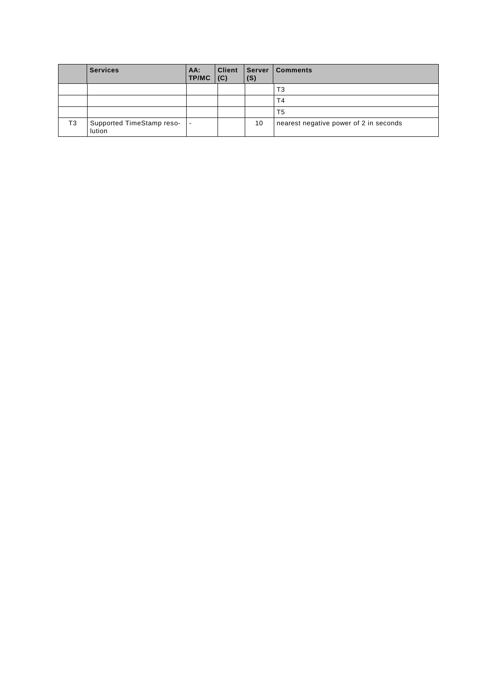|    | <b>Services</b>                     | AA:<br><b>TP/MC</b> | <b>Client</b><br>(C) | <b>Server</b><br>(S) | <b>Comments</b>                        |
|----|-------------------------------------|---------------------|----------------------|----------------------|----------------------------------------|
|    |                                     |                     |                      |                      | T3                                     |
|    |                                     |                     |                      |                      | T4                                     |
|    |                                     |                     |                      |                      | T5                                     |
| T3 | Supported TimeStamp reso-<br>lution |                     |                      | 10                   | nearest negative power of 2 in seconds |